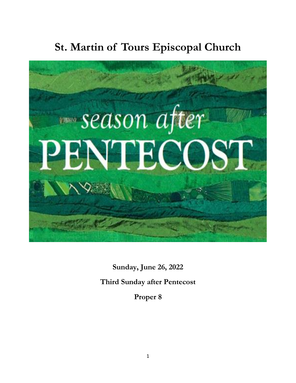# **St. Martin of Tours Episcopal Church**



**Sunday, June 26, 2022**

**Third Sunday after Pentecost**

**Proper 8**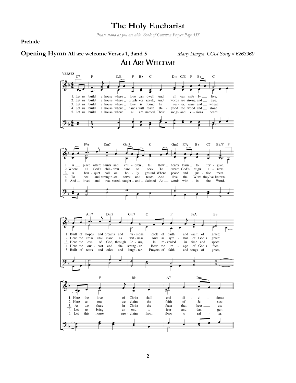# **The Holy Eucharist**

*Please stand as you are able. Book of Common Prayer Page 355*

#### **Prelude**





 $\overline{a}$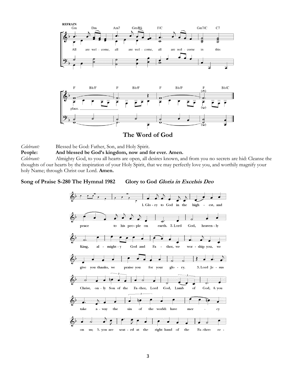

**The Word of God**

*Celebrant:* Blessed be God: Father, Son, and Holy Spirit. **People: And blessed be God's kingdom, now and for ever. Amen.** *Celebrant:* Almighty God, to you all hearts are open, all desires known, and from you no secrets are hid: Cleanse the thoughts of our hearts by the inspiration of your Holy Spirit, that we may perfectly love you, and worthily magnify your holy Name; through Christ our Lord. **Amen.**

**Song of Praise S-280 The Hymnal 1982 Glory to God Gloria in Excelsis Deo**

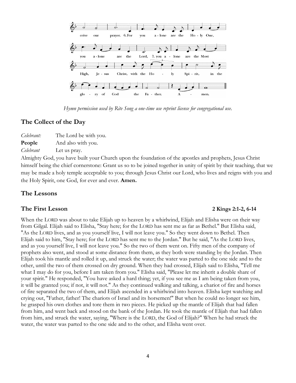

*Hymn permission used by Rite Song a one-time use reprint license for congregational use.*

#### **The Collect of the Day**

| The Lord be with you.<br>Celebrant: |  |
|-------------------------------------|--|
|-------------------------------------|--|

**People** And also with you.

*Celebrant* Let us pray.

Almighty God, you have built your Church upon the foundation of the apostles and prophets, Jesus Christ himself being the chief cornerstone: Grant us so to be joined together in unity of spirit by their teaching, that we may be made a holy temple acceptable to you; through Jesus Christ our Lord, who lives and reigns with you and the Holy Spirit, one God, for ever and ever. **Amen.**

#### **The Lessons**

#### **The First Lesson 2 Kings 2:1-2, 6-14**

#### When the LORD was about to take Elijah up to heaven by a whirlwind, Elijah and Elisha were on their way from Gilgal. Elijah said to Elisha, "Stay here; for the LORD has sent me as far as Bethel." But Elisha said, "As the LORD lives, and as you yourself live, I will not leave you." So they went down to Bethel. Then Elijah said to him, "Stay here; for the LORD has sent me to the Jordan." But he said, "As the LORD lives, and as you yourself live, I will not leave you." So the two of them went on. Fifty men of the company of prophets also went, and stood at some distance from them, as they both were standing by the Jordan. Then Elijah took his mantle and rolled it up, and struck the water; the water was parted to the one side and to the other, until the two of them crossed on dry ground. When they had crossed, Elijah said to Elisha, "Tell me what I may do for you, before I am taken from you." Elisha said, "Please let me inherit a double share of your spirit." He responded, "You have asked a hard thing; yet, if you see me as I am being taken from you, it will be granted you; if not, it will not." As they continued walking and talking, a chariot of fire and horses of fire separated the two of them, and Elijah ascended in a whirlwind into heaven. Elisha kept watching and crying out, "Father, father! The chariots of Israel and its horsemen!" But when he could no longer see him, he grasped his own clothes and tore them in two pieces. He picked up the mantle of Elijah that had fallen from him, and went back and stood on the bank of the Jordan. He took the mantle of Elijah that had fallen from him, and struck the water, saying, "Where is the LORD, the God of Elijah?" When he had struck the water, the water was parted to the one side and to the other, and Elisha went over.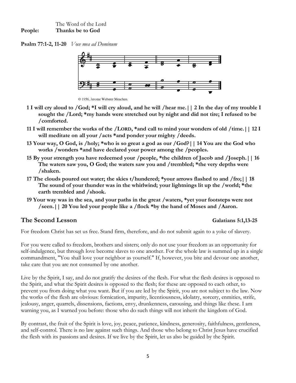**Psalm 77:1-2, 11-20** *Voce mea ad Dominum*



© 1956, Jerome Webster Meachen.

- **1 I will cry aloud to /God; \*I will cry aloud, and he will /hear me.|| 2 In the day of my trouble I sought the /Lord; \*my hands were stretched out by night and did not tire; I refused to be /comforted.**
- **11 I will remember the works of the /LORD, \*and call to mind your wonders of old /time.|| 12 I will meditate on all your /acts \*and ponder your mighty /deeds.**
- **13 Your way, O God, is /holy; \*who is so great a god as our /God?|| 14 You are the God who works /wonders \*and have declared your power among the /peoples.**
- **15 By your strength you have redeemed your /people, \*the children of Jacob and /Joseph.|| 16 The waters saw you, O God; the waters saw you and /trembled; \*the very depths were /shaken.**
- **17 The clouds poured out water; the skies t/hundered; \*your arrows flashed to and /fro;|| 18 The sound of your thunder was in the whirlwind; your lightnings lit up the /world; \*the earth trembled and /shook.**
- **19 Your way was in the sea, and your paths in the great /waters, \*yet your footsteps were not /seen.|| 20 You led your people like a /flock \*by the hand of Moses and /Aaron.**

### **The Second Lesson Galatians 5:1,13-25**

For freedom Christ has set us free. Stand firm, therefore, and do not submit again to a yoke of slavery.

For you were called to freedom, brothers and sisters; only do not use your freedom as an opportunity for self-indulgence, but through love become slaves to one another. For the whole law is summed up in a single commandment, "You shall love your neighbor as yourself." If, however, you bite and devour one another, take care that you are not consumed by one another.

Live by the Spirit, I say, and do not gratify the desires of the flesh. For what the flesh desires is opposed to the Spirit, and what the Spirit desires is opposed to the flesh; for these are opposed to each other, to prevent you from doing what you want. But if you are led by the Spirit, you are not subject to the law. Now the works of the flesh are obvious: fornication, impurity, licentiousness, idolatry, sorcery, enmities, strife, jealousy, anger, quarrels, dissensions, factions, envy, drunkenness, carousing, and things like these. I am warning you, as I warned you before: those who do such things will not inherit the kingdom of God.

By contrast, the fruit of the Spirit is love, joy, peace, patience, kindness, generosity, faithfulness, gentleness, and self-control. There is no law against such things. And those who belong to Christ Jesus have crucified the flesh with its passions and desires. If we live by the Spirit, let us also be guided by the Spirit.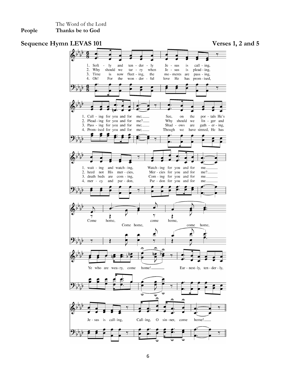The Word of the Lord **People Thanks be to God**

#### **Sequence Hymn LEVAS 101 Verses 1, 2 and 5**

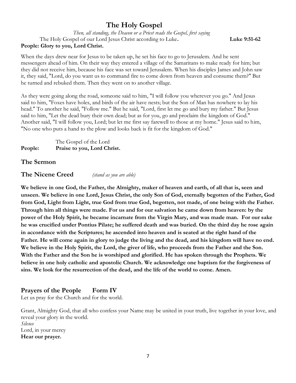# **The Holy Gospel**

*Then, all standing, the Deacon or a Priest reads the Gospel, first saying* The Holy Gospel of our Lord Jesus Christ according to Luke**. Luke 9:51-62 People: Glory to you, Lord Christ.**

When the days drew near for Jesus to be taken up, he set his face to go to Jerusalem. And he sent messengers ahead of him. On their way they entered a village of the Samaritans to make ready for him; but they did not receive him, because his face was set toward Jerusalem. When his disciples James and John saw it, they said, "Lord, do you want us to command fire to come down from heaven and consume them?" But he turned and rebuked them. Then they went on to another village.

As they were going along the road, someone said to him, "I will follow you wherever you go." And Jesus said to him, "Foxes have holes, and birds of the air have nests; but the Son of Man has nowhere to lay his head." To another he said, "Follow me." But he said, "Lord, first let me go and bury my father." But Jesus said to him, "Let the dead bury their own dead; but as for you, go and proclaim the kingdom of God." Another said, "I will follow you, Lord; but let me first say farewell to those at my home." Jesus said to him, "No one who puts a hand to the plow and looks back is fit for the kingdom of God."

#### The Gospel of the Lord **People: Praise to you, Lord Christ.**

#### **The Sermon**

#### **The Nicene Creed** *(stand as you are able)*

**We believe in one God, the Father, the Almighty, maker of heaven and earth, of all that is, seen and unseen. We believe in one Lord, Jesus Christ, the only Son of God, eternally begotten of the Father, God from God, Light from Light, true God from true God, begotten, not made, of one being with the Father. Through him all things were made. For us and for our salvation he came down from heaven: by the power of the Holy Spirit, he became incarnate from the Virgin Mary, and was made man. For our sake he was crucified under Pontius Pilate; he suffered death and was buried. On the third day he rose again in accordance with the Scriptures; he ascended into heaven and is seated at the right hand of the Father. He will come again in glory to judge the living and the dead, and his kingdom will have no end. We believe in the Holy Spirit, the Lord, the giver of life, who proceeds from the Father and the Son. With the Father and the Son he is worshiped and glorified. He has spoken through the Prophets. We believe in one holy catholic and apostolic Church. We acknowledge one baptism for the forgiveness of sins. We look for the resurrection of the dead, and the life of the world to come. Amen.**

### **Prayers of the People Form IV**

Let us pray for the Church and for the world.

Grant, Almighty God, that all who confess your Name may be united in your truth, live together in your love, and reveal your glory in the world. *Silence* Lord, in your mercy **Hear our prayer.**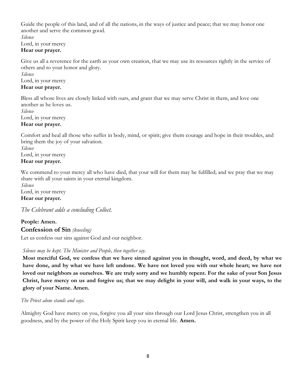Guide the people of this land, and of all the nations, in the ways of justice and peace; that we may honor one another and serve the common good.

*Silence* Lord, in your mercy **Hear our prayer.** 

Give us all a reverence for the earth as your own creation, that we may use its resources rightly in the service of others and to your honor and glory.

*Silence*  Lord, in your mercy

#### **Hear our prayer.**

Bless all whose lives are closely linked with ours, and grant that we may serve Christ in them, and love one another as he loves us. *Silence* 

Lord, in your mercy

#### **Hear our prayer.**

Comfort and heal all those who suffer in body, mind, or spirit; give them courage and hope in their troubles, and bring them the joy of your salvation.

*Silence*  Lord, in your mercy **Hear our prayer.** 

We commend to your mercy all who have died, that your will for them may be fulfilled; and we pray that we may share with all your saints in your eternal kingdom.

*Silence* Lord, in your mercy **Hear our prayer.**

*The Celebrant adds a concluding Collect.*

**People: Amen. Confession of Sin** *(kneeling)* Let us confess our sins against God and our neighbor.

*Silence may be kept. The Minister and People, then together say.*

**Most merciful God, we confess that we have sinned against you in thought, word, and deed, by what we have done, and by what we have left undone. We have not loved you with our whole heart; we have not loved our neighbors as ourselves. We are truly sorry and we humbly repent. For the sake of your Son Jesus Christ, have mercy on us and forgive us; that we may delight in your will, and walk in your ways, to the glory of your Name. Amen.**

#### *The Priest alone stands and says.*

Almighty God have mercy on you, forgive you all your sins through our Lord Jesus Christ, strengthen you in all goodness, and by the power of the Holy Spirit keep you in eternal life. **Amen.**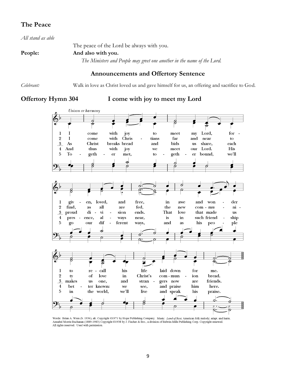#### **The Peace**

| All stand as able |                                                                         |
|-------------------|-------------------------------------------------------------------------|
|                   | The peace of the Lord be always with you.                               |
| People:           | And also with you.                                                      |
|                   | The Ministers and People may greet one another in the name of the Lord. |

#### **Announcements and Offertory Sentence**

*Celebrant:* Walk in love as Christ loved us and gave himself for us, an offering and sacrifice to God.

#### **Offertory Hymn 304 I come with joy to meet my Lord**



Words: Brian A. Wren (b. 1936), alt. Copyright @1971 by Hope Publishing Company. Music: Land of Rest, American folk melody; adapt. and harm. Annabel Morris Buchanan (1889-1983) Copyright ©1938 by J. Fischer & Bro., a division of Belwin-Mills Publishing Corp. Copyright renewed. All rights reserved. Used with permission.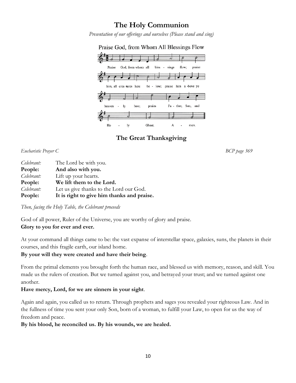# **The Holy Communion**

*Presentation of our offerings and ourselves (Please stand and sing)*



**The Great Thanksgiving**

*Eucharistic Prayer C BCP page 369*

| Celebrant: | The Lord be with you.                      |
|------------|--------------------------------------------|
| People:    | And also with you.                         |
| Celebrant: | Lift up your hearts.                       |
| People:    | We lift them to the Lord.                  |
| Celebrant: | Let us give thanks to the Lord our God.    |
| People:    | It is right to give him thanks and praise. |

*Then, facing the Holy Table, the Celebrant proceeds* 

God of all power, Ruler of the Universe, you are worthy of glory and praise. **Glory to you for ever and ever.**

At your command all things came to be: the vast expanse of interstellar space, galaxies, suns, the planets in their courses, and this fragile earth, our island home.

**By your will they were created and have their being**.

From the primal elements you brought forth the human race, and blessed us with memory, reason, and skill. You made us the rulers of creation. But we turned against you, and betrayed your trust; and we turned against one another.

#### **Have mercy, Lord, for we are sinners in your sight**.

Again and again, you called us to return. Through prophets and sages you revealed your righteous Law. And in the fullness of time you sent your only Son, born of a woman, to fulfill your Law, to open for us the way of freedom and peace.

**By his blood, he reconciled us. By his wounds, we are healed.**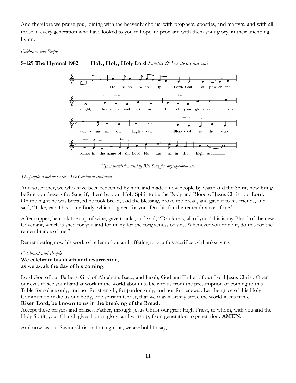And therefore we praise you, joining with the heavenly chorus, with prophets, apostles, and martyrs, and with all those in every generation who have looked to you in hope, to proclaim with them your glory, in their unending hymn:

#### *Celebrant and People*



## **S-129 The Hymnal 1982 Holy, Holy, Holy Lord** *Sanctus & Benedictus qui veni*

*Hymn permission used by Rite Song for congregational use.*

#### *The people stand or kneel. The Celebrant continues*

And so, Father, we who have been redeemed by him, and made a new people by water and the Spirit, now bring before you these gifts. Sanctify them by your Holy Spirit to be the Body and Blood of Jesus Christ our Lord. On the night he was betrayed he took bread, said the blessing, broke the bread, and gave it to his friends, and said, "Take, eat: This is my Body, which is given for you. Do this for the remembrance of me."

After supper, he took the cup of wine, gave thanks, and said, "Drink this, all of you: This is my Blood of the new Covenant, which is shed for you and for many for the forgiveness of sins. Whenever you drink it, do this for the remembrance of me."

Remembering now his work of redemption, and offering to you this sacrifice of thanksgiving,

#### *Celebrant and People* **We celebrate his death and resurrection, as we await the day of his coming.**

Lord God of our Fathers; God of Abraham, Isaac, and Jacob; God and Father of our Lord Jesus Christ: Open our eyes to see your hand at work in the world about us. Deliver us from the presumption of coming to this Table for solace only, and not for strength; for pardon only, and not for renewal. Let the grace of this Holy Communion make us one body, one spirit in Christ, that we may worthily serve the world in his name **Risen Lord, be known to us in the breaking of the Bread.**

Accept these prayers and praises, Father, through Jesus Christ our great High Priest, to whom, with you and the Holy Spirit, your Church gives honor, glory, and worship, from generation to generation. **AMEN.**

And now, as our Savior Christ hath taught us, we are bold to say,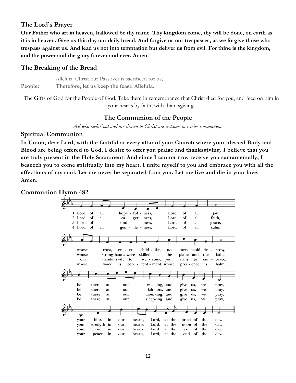### **The Lord's Prayer**

**Our Father who art in heaven, hallowed be thy name. Thy kingdom come, thy will be done, on earth as it is in heaven. Give us this day our daily bread. And forgive us our trespasses, as we forgive those who trespass against us. And lead us not into temptation but deliver us from evil. For thine is the kingdom, and the power and the glory forever and ever. Amen.**

#### **The Breaking of the Bread**

Alleluia. Christ our Passover is sacrificed for us; **People: Therefore, let us keep the feast. Alleluia.**

The Gifts of God for the People of God. Take them in remembrance that Christ died for you, and feed on him in your hearts by faith, with thanksgiving.

#### **The Communion of the People**

*All who seek God and are drawn to Christ are welcome to receive communion.*

#### **Spiritual Communion**

**In Union, dear Lord, with the faithful at every altar of your Church where your blessed Body and Blood are being offered to God, I desire to offer you praise and thanksgiving. I believe that you are truly present in the Holy Sacrament. And since I cannot now receive you sacramentally, I beseech you to come spiritually into my heart. I unite myself to you and embrace you with all the affections of my soul. Let me never be separated from you. Let me live and die in your love. Amen.**

### **Communion Hymn 482**

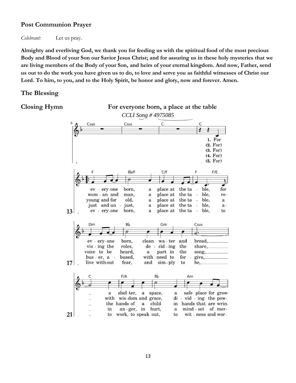### **Post Communion Prayer**

*Celebrant:* Let us pray.

**Almighty and everliving God, we thank you for feeding us with the spiritual food of the most precious Body and Blood of your Son our Savior Jesus Christ; and for assuring us in these holy mysteries that we are living members of the Body of your Son, and heirs of your eternal kingdom. And now, Father, send us out to do the work you have given us to do, to love and serve you as faithful witnesses of Christ our Lord. To him, to you, and to the Holy Spirit, be honor and glory, now and forever. Amen.**

#### **The Blessing**

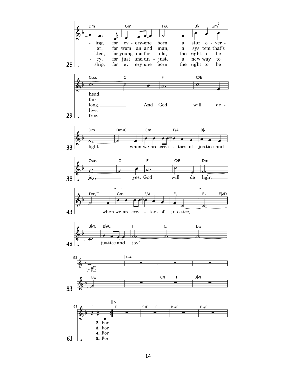